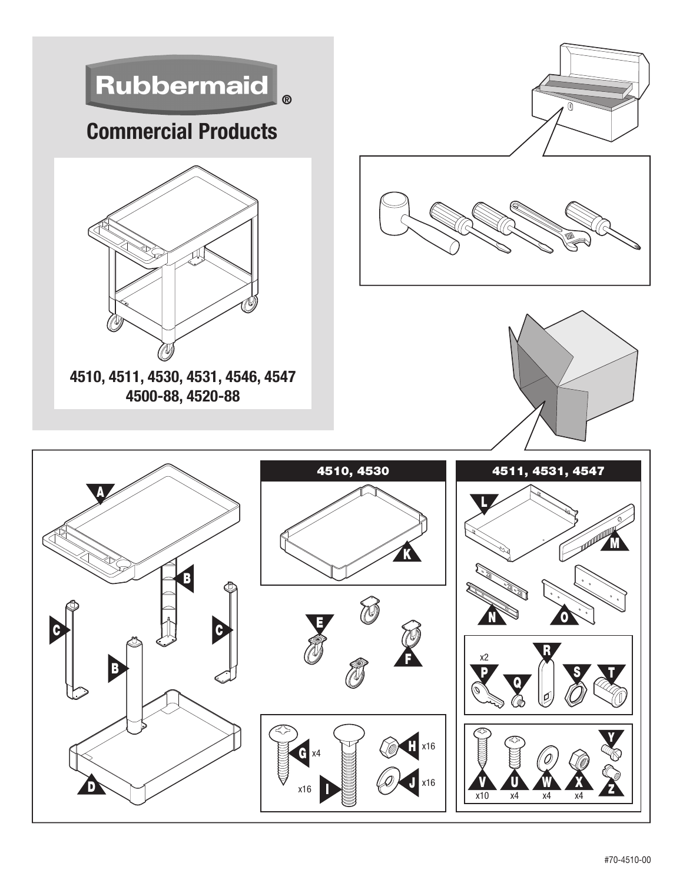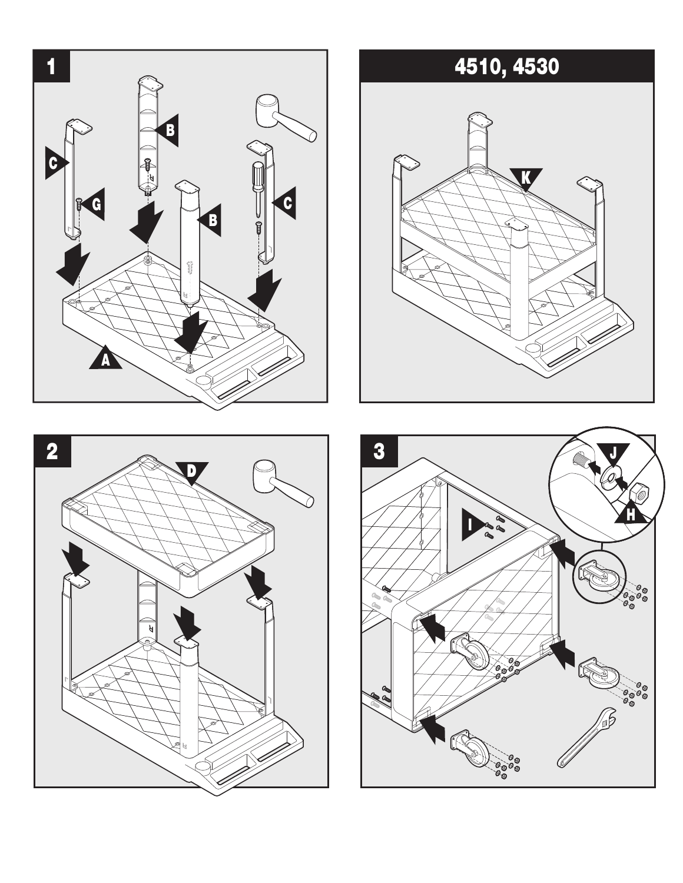





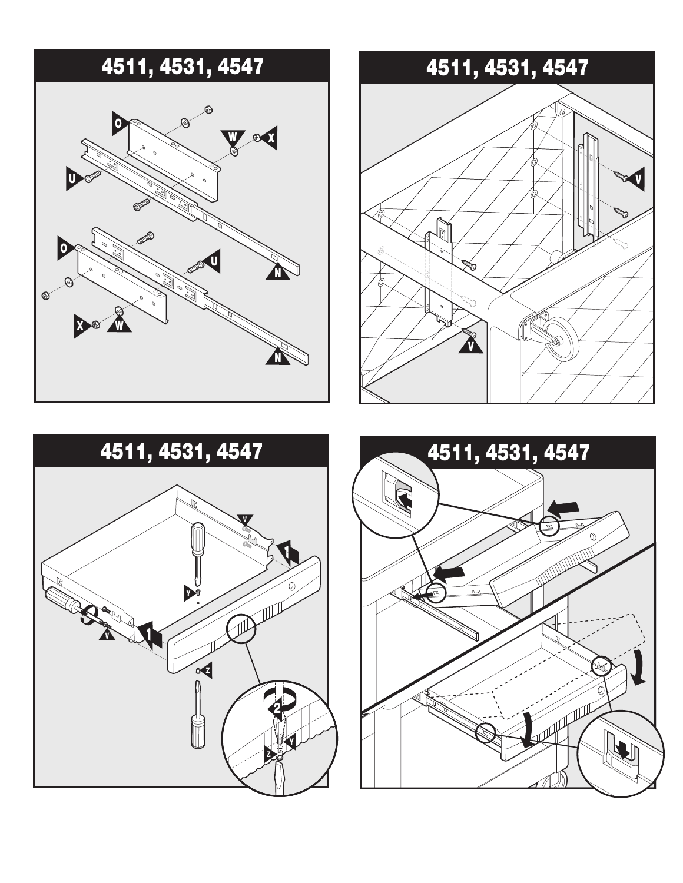## 4511, 4531, 4547